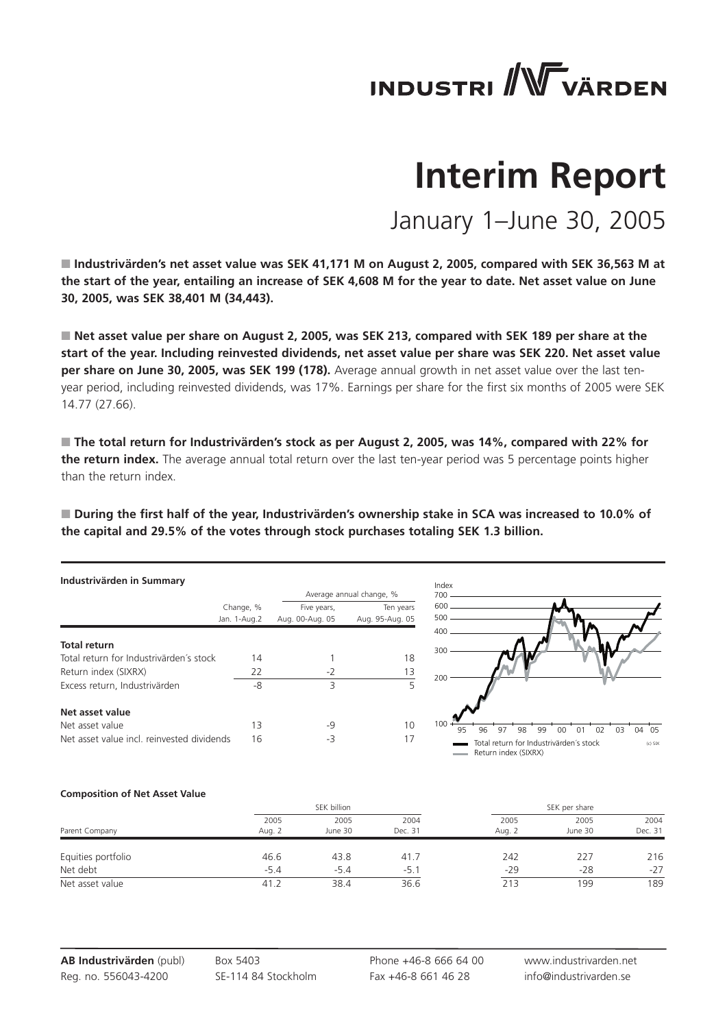# **INDUSTRI** WVÄRDEN

# **Interim Report**

January 1–June 30, 2005

■ Industrivärden's net asset value was SEK 41,171 M on August 2, 2005, compared with SEK 36,563 M at **the start of the year, entailing an increase of SEK 4,608 M for the year to date. Net asset value on June 30, 2005, was SEK 38,401 M (34,443).**

■ Net asset value per share on August 2, 2005, was SEK 213, compared with SEK 189 per share at the **start of the year. Including reinvested dividends, net asset value per share was SEK 220. Net asset value per share on June 30, 2005, was SEK 199 (178).** Average annual growth in net asset value over the last tenyear period, including reinvested dividends, was 17%. Earnings per share for the first six months of 2005 were SEK 14.77 (27.66).

■ The total return for Industrivärden's stock as per August 2, 2005, was 14%, compared with 22% for **the return index.** The average annual total return over the last ten-year period was 5 percentage points higher than the return index.

■ During the first half of the year, Industrivärden's ownership stake in SCA was increased to 10.0% of **the capital and 29.5% of the votes through stock purchases totaling SEK 1.3 billion.**

| Industrivärden in Summary                  |              |                          |                 |  |  |  |  |
|--------------------------------------------|--------------|--------------------------|-----------------|--|--|--|--|
|                                            |              | Average annual change, % |                 |  |  |  |  |
|                                            | Change, %    | Five years,              | Ten years       |  |  |  |  |
|                                            | Jan. 1-Aug.2 | Aug. 00-Aug. 05          | Aug. 95-Aug. 05 |  |  |  |  |
| <b>Total return</b>                        |              |                          |                 |  |  |  |  |
| Total return for Industrivärden's stock    | 14           |                          | 18              |  |  |  |  |
| Return index (SIXRX)                       | 22           | $-2$                     | 13              |  |  |  |  |
| Excess return, Industrivärden              | -8           | 3                        | 5               |  |  |  |  |
| Net asset value                            |              |                          |                 |  |  |  |  |
| Net asset value                            | 13           | -9                       | 10              |  |  |  |  |
| Net asset value incl. reinvested dividends | 16           | -3                       | 17              |  |  |  |  |



Total return for Industrivärden´s stock Return index (SIXRX)

#### **Composition of Net Asset Value**

|                    |                | SEK billion     |                 | SEK per share  |                 |                 |  |
|--------------------|----------------|-----------------|-----------------|----------------|-----------------|-----------------|--|
| Parent Company     | 2005<br>Aug. 2 | 2005<br>June 30 | 2004<br>Dec. 31 | 2005<br>Aug. 2 | 2005<br>June 30 | 2004<br>Dec. 31 |  |
| Equities portfolio | 46.6           | 43.8            | 41.7            | 242            | 227             | 216             |  |
| Net debt           | $-5.4$         | $-5.4$          | $-5.1$          | $-29$          | $-28$           | $-27$           |  |
| Net asset value    | 41.2           | 38.4            | 36.6            | 213            | 199             | 189             |  |

**AB Industrivärden** (publ) Reg. no. 556043-4200

Box 5403 SE-114 84 Stockholm

Phone +46-8 666 64 00 Fax +46-8 661 46 28

www.industrivarden.net info@industrivarden.se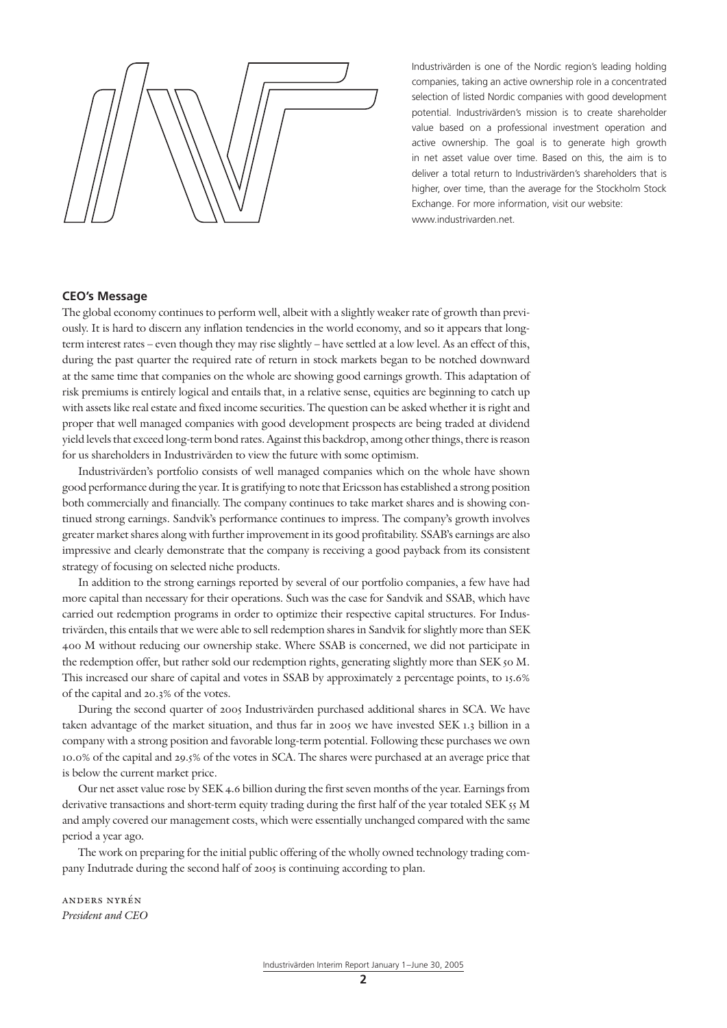Industrivärden is one of the Nordic region's leading holding companies, taking an active ownership role in a concentrated selection of listed Nordic companies with good development potential. Industrivärden's mission is to create shareholder value based on a professional investment operation and active ownership. The goal is to generate high growth in net asset value over time. Based on this, the aim is to deliver a total return to Industrivärden's shareholders that is higher, over time, than the average for the Stockholm Stock Exchange. For more information, visit our website: www.industrivarden.net.

#### **CEO's Message**

The global economy continues to perform well, albeit with a slightly weaker rate of growth than previously. It is hard to discern any inflation tendencies in the world economy, and so it appears that longterm interest rates – even though they may rise slightly – have settled at a low level. As an effect of this, during the past quarter the required rate of return in stock markets began to be notched downward at the same time that companies on the whole are showing good earnings growth. This adaptation of risk premiums is entirely logical and entails that, in a relative sense, equities are beginning to catch up with assets like real estate and fixed income securities. The question can be asked whether it is right and proper that well managed companies with good development prospects are being traded at dividend yield levels that exceed long-term bond rates. Against this backdrop, among other things, there is reason for us shareholders in Industrivärden to view the future with some optimism.

Industrivärden's portfolio consists of well managed companies which on the whole have shown good performance during the year. It is gratifying to note that Ericsson has established a strong position both commercially and financially. The company continues to take market shares and is showing continued strong earnings. Sandvik's performance continues to impress. The company's growth involves greater market shares along with further improvement in its good profitability. SSAB's earnings are also impressive and clearly demonstrate that the company is receiving a good payback from its consistent strategy of focusing on selected niche products.

In addition to the strong earnings reported by several of our portfolio companies, a few have had more capital than necessary for their operations. Such was the case for Sandvik and SSAB, which have carried out redemption programs in order to optimize their respective capital structures. For Industrivärden, this entails that we were able to sell redemption shares in Sandvik for slightly more than SEK 400 M without reducing our ownership stake. Where SSAB is concerned, we did not participate in the redemption offer, but rather sold our redemption rights, generating slightly more than SEK 50 M. This increased our share of capital and votes in SSAB by approximately 2 percentage points, to 15.6% of the capital and 20.3% of the votes.

During the second quarter of 2005 Industrivärden purchased additional shares in SCA. We have taken advantage of the market situation, and thus far in 2005 we have invested SEK 1.3 billion in a company with a strong position and favorable long-term potential. Following these purchases we own 10.0% of the capital and 29.5% of the votes in SCA. The shares were purchased at an average price that is below the current market price.

Our net asset value rose by SEK 4.6 billion during the first seven months of the year. Earnings from derivative transactions and short-term equity trading during the first half of the year totaled SEK 55 M and amply covered our management costs, which were essentially unchanged compared with the same period a year ago.

The work on preparing for the initial public offering of the wholly owned technology trading company Indutrade during the second half of 2005 is continuing according to plan.

anders nyrén *President and CEO*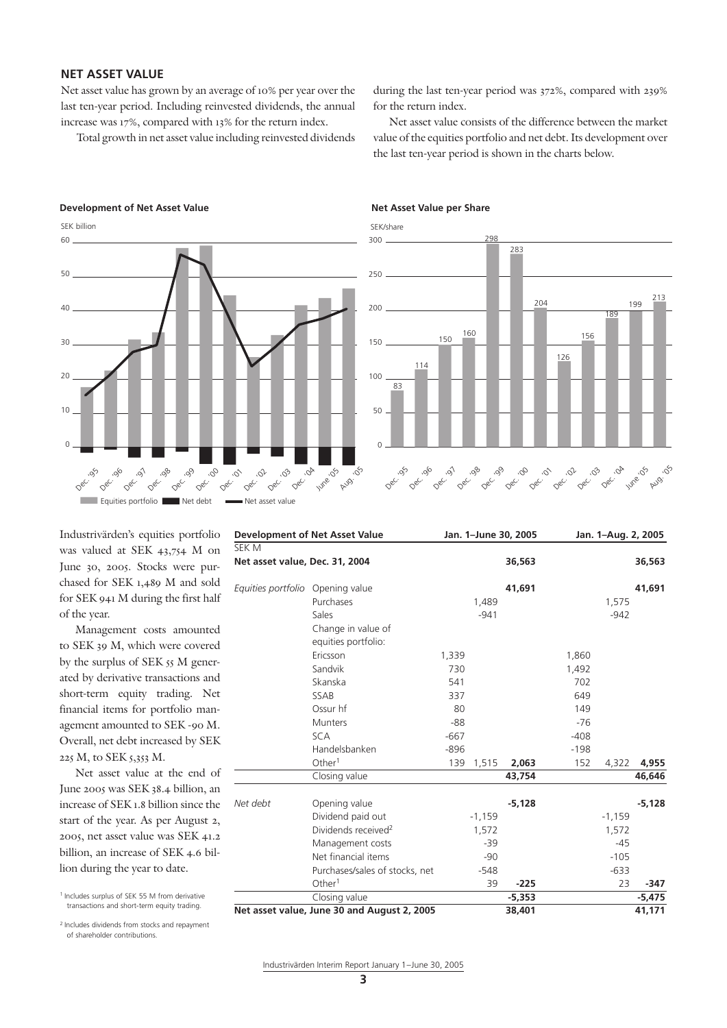# **NET ASSET VALUE**

Net asset value has grown by an average of 10% per year over the last ten-year period. Including reinvested dividends, the annual increase was 17%, compared with 13% for the return index.

Total growth in net asset value including reinvested dividends

during the last ten-year period was 372%, compared with 239% for the return index.

Net asset value consists of the difference between the market value of the equities portfolio and net debt. Its development over the last ten-year period is shown in the charts below.

#### **Development of Net Asset Value Net Asset Value per Share**





Industrivärden's equities portfolio was valued at SEK 43,754 M on June 30, 2005. Stocks were purchased for SEK 1,489 M and sold for SEK 941 M during the first half of the year.

Management costs amounted to SEK 39 M, which were covered by the surplus of SEK 55 M generated by derivative transactions and short-term equity trading. Net financial items for portfolio management amounted to SEK -90 M. Overall, net debt increased by SEK 225 M, to SEK 5,353 M.

Net asset value at the end of June 2005 was SEK 38.4 billion, an increase of SEK 1.8 billion since the start of the year. As per August 2, 2005, net asset value was SEK 41.2 billion, an increase of SEK 4.6 billion during the year to date.

2 Includes dividends from stocks and repayment of shareholder contributions.

| <b>Development of Net Asset Value</b> |                                             |        | Jan. 1-June 30, 2005 |          |        | Jan. 1-Aug. 2, 2005 |          |  |  |
|---------------------------------------|---------------------------------------------|--------|----------------------|----------|--------|---------------------|----------|--|--|
| SEK M                                 |                                             |        |                      |          |        |                     |          |  |  |
| Net asset value, Dec. 31, 2004        |                                             |        |                      | 36,563   |        |                     | 36,563   |  |  |
| Equities portfolio                    | Opening value                               |        |                      | 41,691   |        |                     | 41,691   |  |  |
|                                       | Purchases                                   |        | 1,489                |          |        | 1,575               |          |  |  |
|                                       | Sales                                       |        | $-941$               |          |        | $-942$              |          |  |  |
|                                       | Change in value of                          |        |                      |          |        |                     |          |  |  |
|                                       | equities portfolio:                         |        |                      |          |        |                     |          |  |  |
|                                       | Ericsson                                    | 1,339  |                      |          | 1,860  |                     |          |  |  |
|                                       | Sandvik                                     | 730    |                      |          | 1,492  |                     |          |  |  |
|                                       | Skanska                                     | 541    |                      |          | 702    |                     |          |  |  |
|                                       | <b>SSAB</b>                                 | 337    |                      |          | 649    |                     |          |  |  |
|                                       | Ossur hf                                    | 80     |                      |          | 149    |                     |          |  |  |
|                                       | <b>Munters</b>                              | $-88$  |                      |          | $-76$  |                     |          |  |  |
|                                       | <b>SCA</b>                                  | $-667$ |                      |          | $-408$ |                     |          |  |  |
|                                       | Handelsbanken                               | $-896$ |                      |          | $-198$ |                     |          |  |  |
|                                       | Other <sup>1</sup>                          | 139    | 1,515                | 2,063    | 152    | 4,322               | 4,955    |  |  |
|                                       | Closing value                               |        |                      | 43,754   |        |                     | 46,646   |  |  |
| Net debt                              | Opening value                               |        |                      | $-5,128$ |        |                     | $-5,128$ |  |  |
|                                       | Dividend paid out                           |        | $-1,159$             |          |        | $-1,159$            |          |  |  |
|                                       | Dividends received <sup>2</sup>             |        | 1,572                |          |        | 1,572               |          |  |  |
|                                       | Management costs                            |        | $-39$                |          |        | $-45$               |          |  |  |
|                                       | Net financial items                         |        | $-90$                |          |        | $-105$              |          |  |  |
|                                       | Purchases/sales of stocks, net              |        | $-548$               |          |        | $-633$              |          |  |  |
|                                       | Other <sup>1</sup>                          |        | 39                   | $-225$   |        | 23                  | -347     |  |  |
|                                       | Closing value                               |        |                      | $-5,353$ |        |                     | $-5,475$ |  |  |
|                                       | Net asset value, June 30 and August 2, 2005 |        |                      | 38,401   |        |                     | 41,171   |  |  |

<sup>1</sup> Includes surplus of SEK 55 M from derivative transactions and short-term equity trading.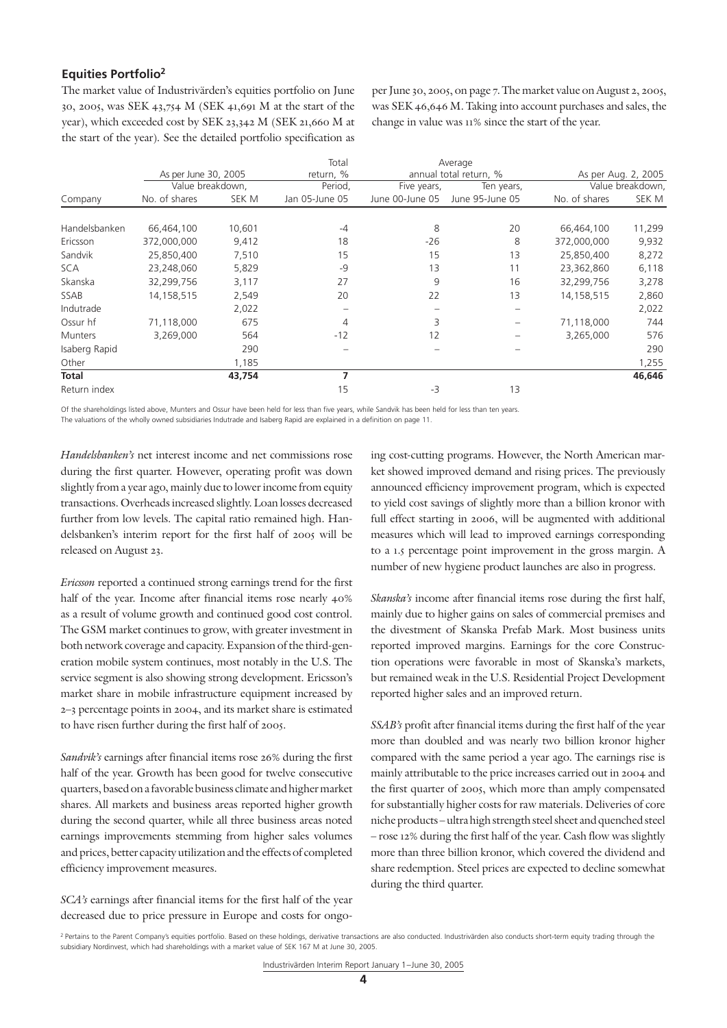# **Equities Portfolio2**

The market value of Industrivärden's equities portfolio on June 30, 2005, was SEK 43,754 M (SEK 41,691 M at the start of the year), which exceeded cost by SEK 23,342 M (SEK 21,660 M at the start of the year). See the detailed portfolio specification as

per June 30, 2005, on page 7. The market value on August 2, 2005, was SEK 46,646 M. Taking into account purchases and sales, the change in value was 11% since the start of the year.

|                |                      |        | Total          |                 | Average                |               |                     |
|----------------|----------------------|--------|----------------|-----------------|------------------------|---------------|---------------------|
|                | As per June 30, 2005 |        | return, %      |                 | annual total return, % |               | As per Aug. 2, 2005 |
|                | Value breakdown,     |        | Period,        | Five years,     | Ten years,             |               | Value breakdown,    |
| Company        | No. of shares        | SEK M  | Jan 05-June 05 | June 00-June 05 | June 95-June 05        | No. of shares | SEK M               |
|                |                      |        |                |                 |                        |               |                     |
| Handelsbanken  | 66,464,100           | 10,601 | $-4$           | 8               | 20                     | 66,464,100    | 11,299              |
| Ericsson       | 372,000,000          | 9,412  | 18             | $-26$           | 8                      | 372,000,000   | 9,932               |
| Sandvik        | 25,850,400           | 7,510  | 15             | 15              | 13                     | 25,850,400    | 8,272               |
| <b>SCA</b>     | 23,248,060           | 5,829  | $-9$           | 13              | 11                     | 23,362,860    | 6,118               |
| Skanska        | 32,299,756           | 3,117  | 27             | 9               | 16                     | 32,299,756    | 3,278               |
| <b>SSAB</b>    | 14,158,515           | 2,549  | 20             | 22              | 13                     | 14,158,515    | 2,860               |
| Indutrade      |                      | 2,022  |                |                 |                        |               | 2,022               |
| Ossur hf       | 71,118,000           | 675    | 4              | 3               |                        | 71,118,000    | 744                 |
| <b>Munters</b> | 3,269,000            | 564    | $-12$          | 12              |                        | 3,265,000     | 576                 |
| Isaberg Rapid  |                      | 290    |                |                 |                        |               | 290                 |
| Other          |                      | 1,185  |                |                 |                        |               | 1,255               |
| <b>Total</b>   |                      | 43,754 | 7              |                 |                        |               | 46,646              |
| Return index   |                      |        | 15             | -3              | 13                     |               |                     |

Of the shareholdings listed above, Munters and Ossur have been held for less than five years, while Sandvik has been held for less than ten years. The valuations of the wholly owned subsidiaries Indutrade and Isaberg Rapid are explained in a definition on page 11.

*Handelsbanken's* net interest income and net commissions rose during the first quarter. However, operating profit was down slightly from a year ago, mainly due to lower income from equity transactions. Overheads increased slightly. Loan losses decreased further from low levels. The capital ratio remained high. Handelsbanken's interim report for the first half of 2005 will be released on August 23.

*Ericsson* reported a continued strong earnings trend for the first half of the year. Income after financial items rose nearly  $40\%$ as a result of volume growth and continued good cost control. The GSM market continues to grow, with greater investment in both network coverage and capacity. Expansion of the third-generation mobile system continues, most notably in the U.S. The service segment is also showing strong development. Ericsson's market share in mobile infrastructure equipment increased by 2–3 percentage points in 2004, and its market share is estimated to have risen further during the first half of 2005.

*Sandvik's* earnings after financial items rose 26% during the first half of the year. Growth has been good for twelve consecutive quarters, based on a favorable business climate and higher market shares. All markets and business areas reported higher growth during the second quarter, while all three business areas noted earnings improvements stemming from higher sales volumes and prices, better capacity utilization and the effects of completed efficiency improvement measures.

*SCA's* earnings after financial items for the first half of the year decreased due to price pressure in Europe and costs for ongoing cost-cutting programs. However, the North American market showed improved demand and rising prices. The previously announced efficiency improvement program, which is expected to yield cost savings of slightly more than a billion kronor with full effect starting in 2006, will be augmented with additional measures which will lead to improved earnings corresponding to a 1.5 percentage point improvement in the gross margin. A number of new hygiene product launches are also in progress.

*Skanska's* income after financial items rose during the first half, mainly due to higher gains on sales of commercial premises and the divestment of Skanska Prefab Mark. Most business units reported improved margins. Earnings for the core Construction operations were favorable in most of Skanska's markets, but remained weak in the U.S. Residential Project Development reported higher sales and an improved return.

*SSAB's* profit after financial items during the first half of the year more than doubled and was nearly two billion kronor higher compared with the same period a year ago. The earnings rise is mainly attributable to the price increases carried out in 2004 and the first quarter of 2005, which more than amply compensated for substantially higher costs for raw materials. Deliveries of core niche products – ultra high strength steel sheet and quenched steel – rose 12% during the first half of the year. Cash flow was slightly more than three billion kronor, which covered the dividend and share redemption. Steel prices are expected to decline somewhat during the third quarter.

<sup>&</sup>lt;sup>2</sup> Pertains to the Parent Company's equities portfolio. Based on these holdings, derivative transactions are also conducted. Industrivarden also conducts short-term equity trading through the subsidiary Nordinvest, which had shareholdings with a market value of SEK 167 M at June 30, 2005.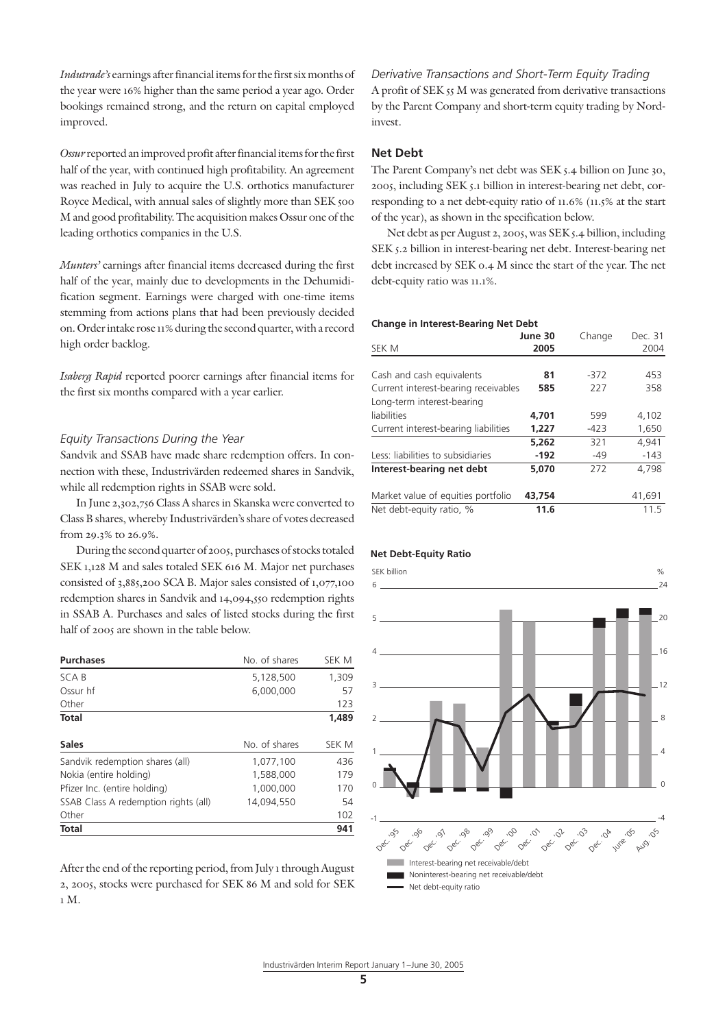*Indutrade's* earnings after financial items for the first six months of the year were 16% higher than the same period a year ago. Order bookings remained strong, and the return on capital employed improved.

*Ossur* reported an improved profit after financial items for the first half of the year, with continued high profitability. An agreement was reached in July to acquire the U.S. orthotics manufacturer Royce Medical, with annual sales of slightly more than SEK 500 M and good profitability. The acquisition makes Ossur one of the leading orthotics companies in the U.S.

*Munters'* earnings after financial items decreased during the first half of the year, mainly due to developments in the Dehumidification segment. Earnings were charged with one-time items stemming from actions plans that had been previously decided on. Order intake rose 11% during the second quarter, with a record high order backlog.

*Isaberg Rapid* reported poorer earnings after financial items for the first six months compared with a year earlier.

#### *Equity Transactions During the Year*

Sandvik and SSAB have made share redemption offers. In connection with these, Industrivärden redeemed shares in Sandvik, while all redemption rights in SSAB were sold.

In June 2,302,756 Class A shares in Skanska were converted to Class B shares, whereby Industrivärden's share of votes decreased from 29.3% to 26.9%.

During the second quarter of 2005, purchases of stocks totaled SEK 1,128 M and sales totaled SEK 616 M. Major net purchases consisted of 3,885,200 SCA B. Major sales consisted of 1,077,100 redemption shares in Sandvik and 14,094,550 redemption rights in SSAB A. Purchases and sales of listed stocks during the first half of 2005 are shown in the table below.

| <b>Purchases</b>                     | No. of shares | SEK M |
|--------------------------------------|---------------|-------|
| SCA B                                | 5,128,500     | 1,309 |
| Ossur hf                             | 6.000.000     | 57    |
| Other                                |               | 123   |
| <b>Total</b>                         |               | 1,489 |
| <b>Sales</b>                         | No. of shares | SEK M |
| Sandvik redemption shares (all)      | 1,077,100     | 436   |
| Nokia (entire holding)               | 1.588.000     | 179   |
| Pfizer Inc. (entire holding)         | 1.000.000     | 170   |
| SSAB Class A redemption rights (all) | 14.094.550    | 54    |
| Other                                |               | 102   |
| <b>Total</b>                         |               | 941   |

After the end of the reporting period, from July 1 through August 2, 2005, stocks were purchased for SEK 86 M and sold for SEK 1 M.

*Derivative Transactions and Short-Term Equity Trading* A profit of SEK 55 M was generated from derivative transactions by the Parent Company and short-term equity trading by Nordinvest.

### **Net Debt**

The Parent Company's net debt was SEK 5.4 billion on June 30, 2005, including SEK 5.1 billion in interest-bearing net debt, corresponding to a net debt-equity ratio of 11.6% (11.5% at the start of the year), as shown in the specification below.

Net debt as per August 2, 2005, was SEK 5.4 billion, including SEK 5.2 billion in interest-bearing net debt. Interest-bearing net debt increased by SEK 0.4 M since the start of the year. The net debt-equity ratio was 11.1%.

#### **Change in Interest-Bearing Net Debt**

| SEK M                                | June 30<br>2005 | Change | Dec. 31<br>2004 |
|--------------------------------------|-----------------|--------|-----------------|
|                                      |                 |        |                 |
| Cash and cash equivalents            | 81              | $-372$ | 453             |
| Current interest-bearing receivables | 585             | 227    | 358             |
| Long-term interest-bearing           |                 |        |                 |
| liabilities                          | 4.701           | 599    | 4,102           |
| Current interest-bearing liabilities | 1.227           | -423   | 1,650           |
|                                      | 5.262           | 321    | 4.941           |
| Less: liabilities to subsidiaries    | -192            | $-49$  | $-143$          |
| Interest-bearing net debt            | 5.070           | 272    | 4.798           |
| Market value of equities portfolio   | 43,754          |        | 41,691          |
| Net debt-equity ratio, %             | 11.6            |        | 11.5            |

# **Net Debt-Equity Ratio**



#### Industrivärden Interim Report January 1– June 30, 2005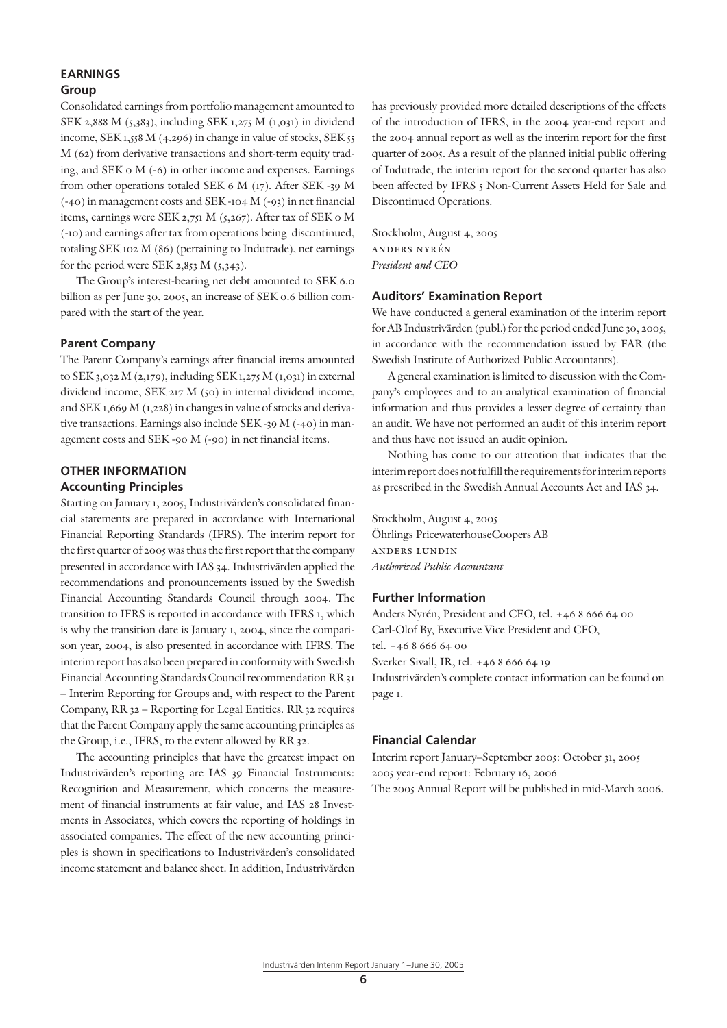# **EARNINGS**

# **Group**

Consolidated earnings from portfolio management amounted to SEK 2,888 M (5,383), including SEK 1,275 M (1,031) in dividend income, SEK 1,558 M (4,296) in change in value of stocks, SEK 55 M (62) from derivative transactions and short-term equity trading, and SEK 0 M (-6) in other income and expenses. Earnings from other operations totaled SEK 6 M (17). After SEK -39 M (-40) in management costs and SEK -104 M (-93) in net financial items, earnings were SEK 2,751 M (5,267). After tax of SEK 0 M (-10) and earnings after tax from operations being discontinued, totaling SEK 102 M (86) (pertaining to Indutrade), net earnings for the period were SEK 2,853 M  $(5,343)$ .

The Group's interest-bearing net debt amounted to SEK 6.0 billion as per June 30, 2005, an increase of SEK 0.6 billion compared with the start of the year.

## **Parent Company**

The Parent Company's earnings after financial items amounted to SEK 3,032 M (2,179), including SEK 1,275 M (1,031) in external dividend income, SEK 217 M (50) in internal dividend income, and SEK 1,669 M (1,228) in changes in value of stocks and derivative transactions. Earnings also include SEK -39 M (-40) in management costs and SEK -90 M (-90) in net financial items.

#### **OTHER INFORMATION Accounting Principles**

Starting on January 1, 2005, Industrivärden's consolidated financial statements are prepared in accordance with International Financial Reporting Standards (IFRS). The interim report for the first quarter of 2005 was thus the first report that the company presented in accordance with IAS 34. Industrivärden applied the recommendations and pronouncements issued by the Swedish Financial Accounting Standards Council through 2004. The transition to IFRS is reported in accordance with IFRS 1, which is why the transition date is January 1, 2004, since the comparison year, 2004, is also presented in accordance with IFRS. The interim report has also been prepared in conformity with Swedish Financial Accounting Standards Council recommendation RR 31 – Interim Reporting for Groups and, with respect to the Parent Company, RR 32 – Reporting for Legal Entities. RR 32 requires that the Parent Company apply the same accounting principles as the Group, i.e., IFRS, to the extent allowed by RR 32.

The accounting principles that have the greatest impact on Industrivärden's reporting are IAS 39 Financial Instruments: Recognition and Measurement, which concerns the measurement of financial instruments at fair value, and IAS 28 Investments in Associates, which covers the reporting of holdings in associated companies. The effect of the new accounting principles is shown in specifications to Industrivärden's consolidated income statement and balance sheet. In addition, Industrivärden has previously provided more detailed descriptions of the effects of the introduction of IFRS, in the 2004 year-end report and the 2004 annual report as well as the interim report for the first quarter of 2005. As a result of the planned initial public offering of Indutrade, the interim report for the second quarter has also been affected by IFRS 5 Non-Current Assets Held for Sale and Discontinued Operations.

Stockholm, August 4, 2005 anders nyrén *President and CEO*

## **Auditors' Examination Report**

We have conducted a general examination of the interim report for AB Industrivärden (publ.) for the period ended June 30, 2005, in accordance with the recommendation issued by FAR (the Swedish Institute of Authorized Public Accountants).

A general examination is limited to discussion with the Company's employees and to an analytical examination of financial information and thus provides a lesser degree of certainty than an audit. We have not performed an audit of this interim report and thus have not issued an audit opinion.

Nothing has come to our attention that indicates that the interim report does not fulfill the requirements for interim reports as prescribed in the Swedish Annual Accounts Act and IAS 34.

Stockholm, August 4, 2005 Öhrlings PricewaterhouseCoopers AB anders lundin *Authorized Public Accountant*

# **Further Information**

Anders Nyrén, President and CEO, tel. +46 8 666 64 00 Carl-Olof By, Executive Vice President and CFO, tel. +46 8 666 64 00 Sverker Sivall, IR, tel. +46 8 666 64 19 Industrivärden's complete contact information can be found on page 1.

# **Financial Calendar**

Interim report January–September 2005: October 31, 2005 2005 year-end report: February 16, 2006 The 2005 Annual Report will be published in mid-March 2006.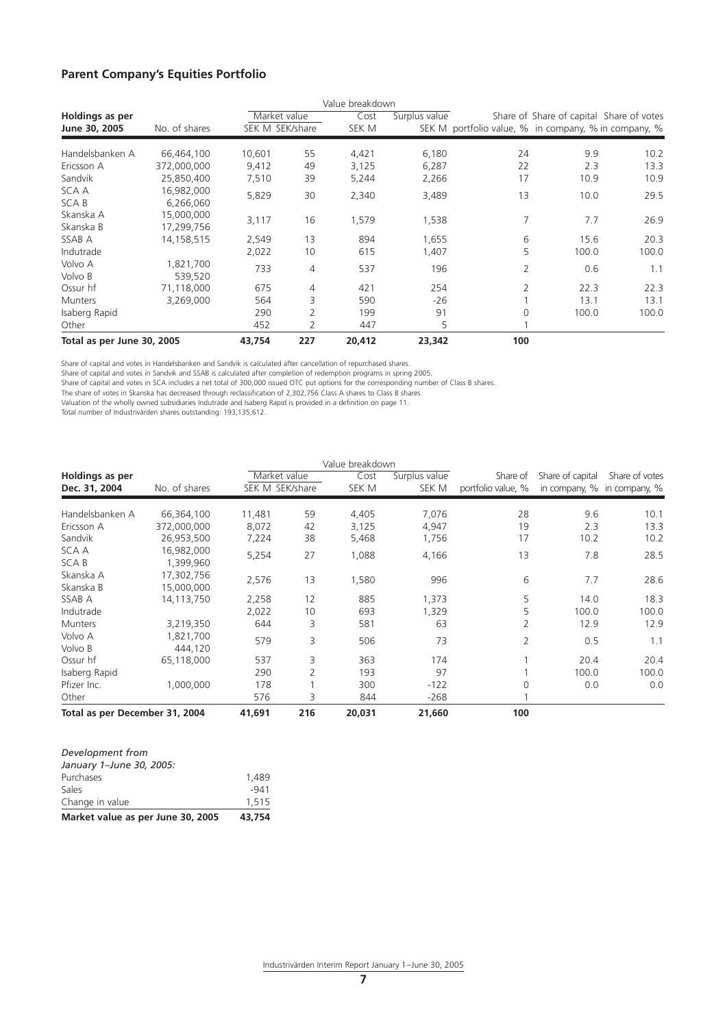# **Parent Company's Equities Portfolio**

|                            |                          |                 |                | Value breakdown |               |                                                      |                                          |       |
|----------------------------|--------------------------|-----------------|----------------|-----------------|---------------|------------------------------------------------------|------------------------------------------|-------|
| Holdings as per            |                          | Market value    |                | Cost            | Surplus value |                                                      | Share of Share of capital Share of votes |       |
| June 30, 2005              | No. of shares            | SEK M SEK/share |                | SEK M           |               | SEK M portfolio value, % in company, % in company, % |                                          |       |
| Handelsbanken A            | 66,464,100               | 10,601          | 55             | 4,421           | 6,180         | 24                                                   | 9.9                                      | 10.2  |
| Ericsson A                 | 372,000,000              | 9,412           | 49             | 3,125           | 6,287         | 22                                                   | 2.3                                      | 13.3  |
| Sandvik                    | 25,850,400               | 7,510           | 39             | 5,244           | 2,266         | 17                                                   | 10.9                                     | 10.9  |
| SCA A<br>SCA B             | 16,982,000<br>6,266,060  | 5,829           | 30             | 2,340           | 3,489         | 13                                                   | 10.0                                     | 29.5  |
| Skanska A<br>Skanska B     | 15,000,000<br>17,299,756 | 3,117           | 16             | 1,579           | 1,538         | 7                                                    | 7.7                                      | 26.9  |
| SSAB A                     | 14,158,515               | 2,549           | 13             | 894             | 1,655         | 6                                                    | 15.6                                     | 20.3  |
| Indutrade                  |                          | 2,022           | 10             | 615             | 1,407         | 5                                                    | 100.0                                    | 100.0 |
| Volvo A<br>Volvo B         | 1,821,700<br>539,520     | 733             | 4              | 537             | 196           | 2                                                    | 0.6                                      | 1.1   |
| Ossur hf                   | 71,118,000               | 675             | 4              | 421             | 254           | 2                                                    | 22.3                                     | 22.3  |
| <b>Munters</b>             | 3,269,000                | 564             | 3              | 590             | $-26$         |                                                      | 13.1                                     | 13.1  |
| Isaberg Rapid              |                          | 290             | $\overline{2}$ | 199             | 91            | $\Omega$                                             | 100.0                                    | 100.0 |
| Other                      |                          | 452             | 2              | 447             | 5             |                                                      |                                          |       |
| Total as per June 30, 2005 |                          | 43,754          | 227            | 20,412          | 23,342        | 100                                                  |                                          |       |

Share of capital and votes in Handelsbanken and Sandvik is calculated after cancellation of repurchased shares.

Share of capital and votes in Sandvik and SSAB is calculated after completion of redemption programs in spring 2005.

Share of capital and votes in SCA includes a net total of 300,000 issued OTC put options for the corresponding number of Class B shares.

The share of votes in Skanska has decreased through reclassification of 2,302,756 Class A shares to Class B shares.

Valuation of the wholly owned subsidiaries Indutrade and Isaberg Rapid is provided in a definition on page 11.

Total number of Industrivärden shares outstanding: 193,135,612.

|                                |                          |                 |     | Value breakdown |               |                    |                  |                             |
|--------------------------------|--------------------------|-----------------|-----|-----------------|---------------|--------------------|------------------|-----------------------------|
| Holdings as per                |                          | Market value    |     | Cost            | Surplus value | Share of           | Share of capital | Share of votes              |
| Dec. 31, 2004                  | No. of shares            | SEK M SEK/share |     | SEK M           | SEK M         | portfolio value, % |                  | in company, % in company, % |
| Handelsbanken A                | 66,364,100               | 11,481          | 59  | 4,405           | 7,076         | 28                 | 9.6              | 10.1                        |
| Ericsson A                     | 372,000,000              | 8,072           | 42  | 3,125           | 4,947         | 19                 | 2.3              | 13.3                        |
| Sandvik                        | 26,953,500               | 7,224           | 38  | 5,468           | 1,756         | 17                 | 10.2             | 10.2                        |
| SCA A<br>SCA B                 | 16,982,000<br>1,399,960  | 5,254           | 27  | 1,088           | 4,166         | 13                 | 7.8              | 28.5                        |
| Skanska A<br>Skanska B         | 17,302,756<br>15,000,000 | 2,576           | 13  | 1,580           | 996           | 6                  | 7.7              | 28.6                        |
| SSAB A                         | 14,113,750               | 2,258           | 12  | 885             | 1,373         | 5                  | 14.0             | 18.3                        |
| Indutrade                      |                          | 2,022           | 10  | 693             | 1,329         | 5                  | 100.0            | 100.0                       |
| <b>Munters</b>                 | 3,219,350                | 644             | 3   | 581             | 63            | 2                  | 12.9             | 12.9                        |
| Volvo A<br>Volvo B             | 1,821,700<br>444,120     | 579             | 3   | 506             | 73            | $\overline{2}$     | 0.5              | 1.1                         |
| Ossur hf                       | 65,118,000               | 537             | 3   | 363             | 174           |                    | 20.4             | 20.4                        |
| Isaberg Rapid                  |                          | 290             | 2   | 193             | 97            |                    | 100.0            | 100.0                       |
| Pfizer Inc.                    | 1,000,000                | 178             |     | 300             | $-122$        | 0                  | 0.0              | 0.0                         |
| Other                          |                          | 576             | 3   | 844             | $-268$        |                    |                  |                             |
| Total as per December 31, 2004 |                          | 41,691          | 216 | 20,031          | 21,660        | 100                |                  |                             |

| Market value as per June 30, 2005 | 43.754 |
|-----------------------------------|--------|
| Change in value                   | 1.515  |
| Sales                             | $-941$ |
| Purchases                         | 1.489  |
| January 1-June 30, 2005:          |        |
| Development from                  |        |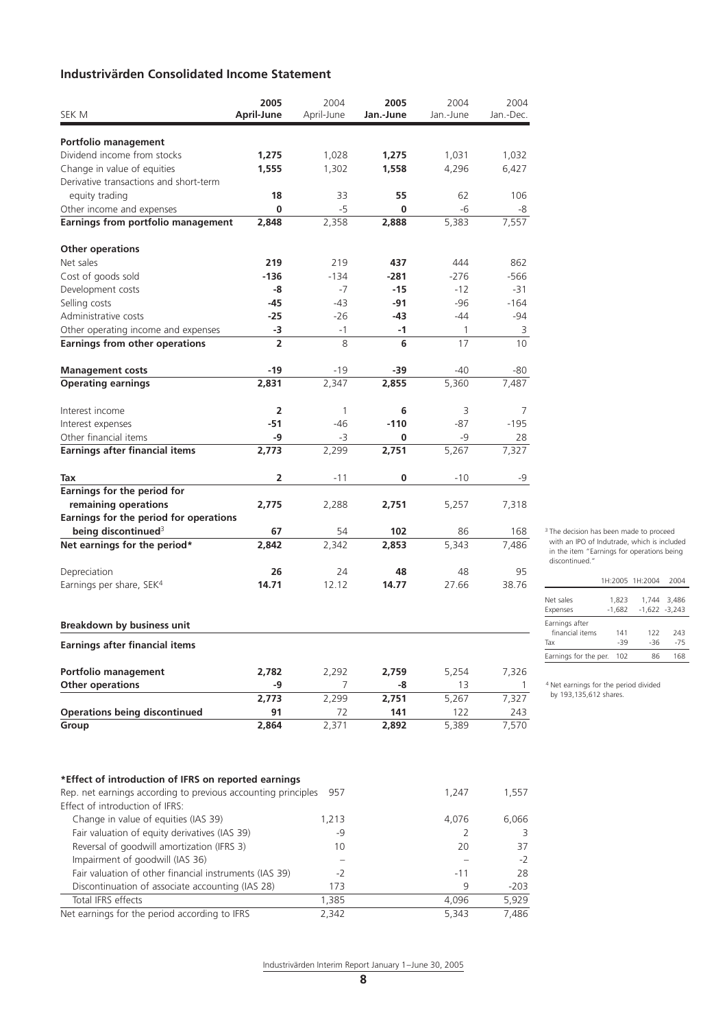# **Industrivärden Consolidated Income Statement**

| SEK M                                                                                            | 2005           | 2004<br>April-June | 2005        | 2004<br>Jan.-June | 2004<br>Jan.-Dec. |
|--------------------------------------------------------------------------------------------------|----------------|--------------------|-------------|-------------------|-------------------|
|                                                                                                  | April-June     |                    | Jan.-June   |                   |                   |
| Portfolio management                                                                             |                |                    |             |                   |                   |
| Dividend income from stocks                                                                      | 1,275          | 1,028              | 1,275       | 1,031             | 1,032             |
| Change in value of equities                                                                      | 1,555          | 1,302              | 1,558       | 4,296             | 6,427             |
| Derivative transactions and short-term                                                           |                |                    |             |                   |                   |
| equity trading                                                                                   | 18             | 33                 | 55          | 62                | 106               |
| Other income and expenses                                                                        | 0              | -5                 | 0           | -6                | -8                |
| Earnings from portfolio management                                                               | 2,848          | 2,358              | 2,888       | 5,383             | 7,557             |
| <b>Other operations</b>                                                                          |                |                    |             |                   |                   |
| Net sales                                                                                        | 219            | 219                | 437         | 444               | 862               |
| Cost of goods sold                                                                               | $-136$         | $-134$             | $-281$      | $-276$            | -566              |
| Development costs                                                                                | -8             | -7                 | -15         | $-12$             | $-31$             |
| Selling costs                                                                                    | -45            | -43                | -91         | $-96$             | $-164$            |
| Administrative costs                                                                             | $-25$          | $-26$              | -43         | $-44$             | $-94$             |
| Other operating income and expenses                                                              | -3             | $-1$               | $-1$        | 1                 | 3                 |
| Earnings from other operations                                                                   | $\overline{2}$ | 8                  | 6           | 17                | 10                |
| <b>Management costs</b>                                                                          | -19            | -19                | -39         | -40               | -80               |
| <b>Operating earnings</b>                                                                        | 2,831          | 2,347              | 2,855       | 5,360             | 7,487             |
| Interest income                                                                                  | $\overline{2}$ | $\mathbf{1}$       | 6           | 3                 | 7                 |
| Interest expenses                                                                                | $-51$          | $-46$              | $-110$      | $-87$             | $-195$            |
| Other financial items                                                                            | $-9$           | -3                 | 0           | -9                | 28                |
| <b>Earnings after financial items</b>                                                            | 2,773          | 2,299              | 2,751       | 5,267             | 7,327             |
| Tax                                                                                              | 2              | $-11$              | 0           | $-10$             | -9                |
| Earnings for the period for                                                                      |                |                    |             |                   |                   |
| remaining operations                                                                             | 2,775          | 2,288              | 2,751       | 5,257             | 7,318             |
| Earnings for the period for operations                                                           |                |                    |             |                   |                   |
| being discontinued <sup>3</sup>                                                                  | 67             | 54                 | 102         | 86                | 168               |
| Net earnings for the period*                                                                     | 2,842          | 2,342              | 2,853       | 5,343             | 7,486             |
| Depreciation                                                                                     | 26             | 24                 | 48          | 48                | 95                |
| Earnings per share, SEK <sup>4</sup>                                                             | 14.71          | 12.12              | 14.77       | 27.66             | 38.76             |
|                                                                                                  |                |                    |             |                   |                   |
| Breakdown by business unit                                                                       |                |                    |             |                   |                   |
| <b>Earnings after financial items</b>                                                            |                |                    |             |                   |                   |
|                                                                                                  |                |                    |             |                   |                   |
| Portfolio management                                                                             | 2,782          | 2,292              | 2,759       | 5,254             | 7,326             |
| <b>Other operations</b>                                                                          | -9<br>2,773    | 7<br>2,299         | -8<br>2,751 | 13<br>5,267       | 1<br>7,327        |
| <b>Operations being discontinued</b>                                                             | 91             | 72                 | 141         | 122               | 243               |
| Group                                                                                            | 2,864          | 2,371              | 2,892       | 5,389             | 7,570             |
|                                                                                                  |                |                    |             |                   |                   |
| *Effect of introduction of IFRS on reported earnings                                             |                |                    |             |                   |                   |
| Rep. net earnings according to previous accounting principles<br>Effect of introduction of IFRS: |                | 957                |             | 1,247             | 1,557             |
| Change in value of equities (IAS 39)                                                             |                | 1,213              |             | 4,076             | 6,066             |
| Fair valuation of equity derivatives (IAS 39)                                                    |                | -9                 |             | 2                 | 3                 |
| Reversal of goodwill amortization (IFRS 3)                                                       |                | 10                 |             | 20                | 37                |
| Impairment of goodwill (IAS 36)                                                                  |                |                    |             |                   | $-2$              |
| Fair valuation of other financial instruments (IAS 39)                                           |                | $-2$               |             | -11               | 28                |
| Discontinuation of associate accounting (IAS 28)                                                 |                | 173                |             | 9                 | $-203$            |
| Total IFRS effects                                                                               |                | 1,385              |             | 4,096             | 5,929             |

Net earnings for the period according to IFRS 2,342 5,343 7,486

Industrivärden Interim Report January 1-June 30, 2005

with an IPO of Indutrade, which is included in the item "Earnings for operations being discontinued." 1H:2005 1H:2004 2004

<sup>3</sup> The decision has been made to proceed

| Net sales             | 1.823    | 1.744 | 3.486           |
|-----------------------|----------|-------|-----------------|
| Expenses              | $-1.682$ |       | $-1,622 -3,243$ |
| Earnings after        |          |       |                 |
| financial items       | 141      | 122   | 243             |
| Tax                   | -39      | -36   | $-75$           |
| Earnings for the per. | 102      | 86    | 168             |
|                       |          |       |                 |

4 Net earnings for the period divided by 193,135,612 shares.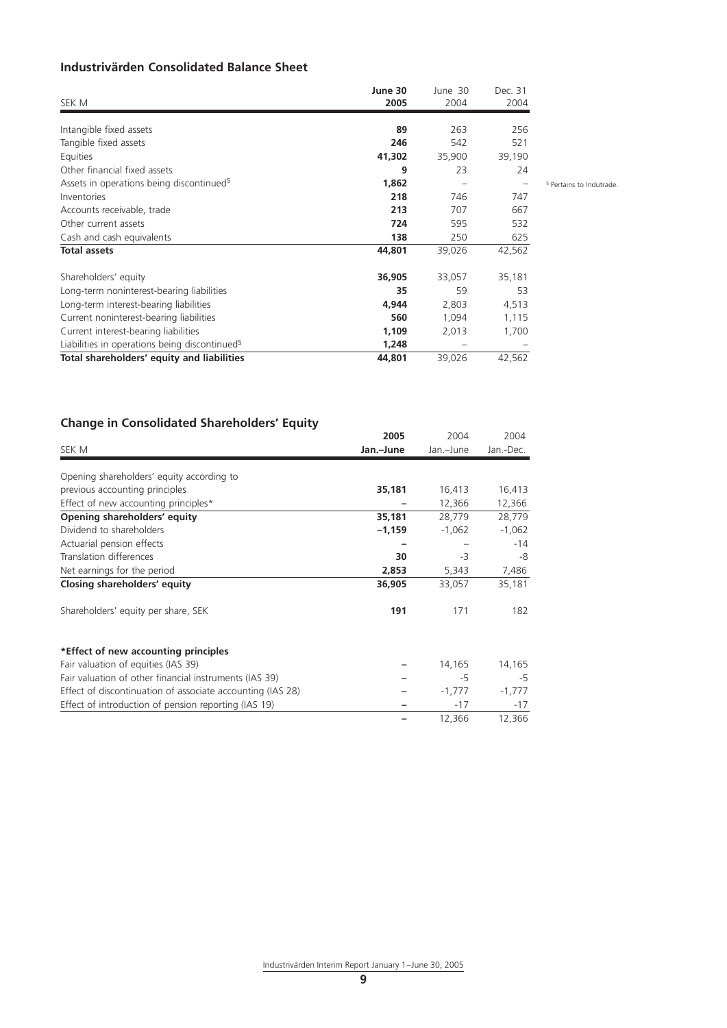# **Industrivärden Consolidated Balance Sheet**

| SEK M                                                     | June 30<br>2005 | June 30<br>2004 | Dec. 31<br>2004   |                                     |
|-----------------------------------------------------------|-----------------|-----------------|-------------------|-------------------------------------|
| Intangible fixed assets                                   | 89              | 263             | 256               |                                     |
| Tangible fixed assets                                     | 246             | 542             | 521               |                                     |
| Equities                                                  | 41,302          | 35,900          | 39,190            |                                     |
| Other financial fixed assets                              | 9               | 23              | 24                |                                     |
| Assets in operations being discontinued <sup>5</sup>      | 1,862           | $\qquad \qquad$ | $\qquad \qquad -$ | <sup>5</sup> Pertains to Indutrade. |
| Inventories                                               | 218             | 746             | 747               |                                     |
| Accounts receivable, trade                                | 213             | 707             | 667               |                                     |
| Other current assets                                      | 724             | 595             | 532               |                                     |
| Cash and cash equivalents                                 | 138             | 250             | 625               |                                     |
| <b>Total assets</b>                                       | 44,801          | 39,026          | 42,562            |                                     |
| Shareholders' equity                                      | 36,905          | 33,057          | 35,181            |                                     |
| Long-term noninterest-bearing liabilities                 | 35              | 59              | 53                |                                     |
| Long-term interest-bearing liabilities                    | 4,944           | 2,803           | 4,513             |                                     |
| Current noninterest-bearing liabilities                   | 560             | 1,094           | 1,115             |                                     |
| Current interest-bearing liabilities                      | 1,109           | 2,013           | 1,700             |                                     |
| Liabilities in operations being discontinued <sup>5</sup> | 1,248           |                 |                   |                                     |
| Total shareholders' equity and liabilities                | 44,801          | 39,026          | 42,562            |                                     |

# **Change in Consolidated Shareholders' Equity**

|                                                            | 2005      | 2004      | 2004      |
|------------------------------------------------------------|-----------|-----------|-----------|
| SEK M                                                      | Jan.-June | Jan.-June | Jan.-Dec. |
| Opening shareholders' equity according to                  |           |           |           |
| previous accounting principles                             | 35,181    | 16,413    | 16,413    |
| Effect of new accounting principles*                       |           | 12,366    | 12,366    |
| Opening shareholders' equity                               | 35,181    | 28,779    | 28,779    |
| Dividend to shareholders                                   | $-1,159$  | $-1,062$  | $-1,062$  |
| Actuarial pension effects                                  |           |           | $-14$     |
| Translation differences                                    | 30        | -3        | -8        |
| Net earnings for the period                                | 2,853     | 5,343     | 7,486     |
| Closing shareholders' equity                               | 36,905    | 33,057    | 35,181    |
| Shareholders' equity per share, SEK                        | 191       | 171       | 182       |
| *Effect of new accounting principles                       |           |           |           |
| Fair valuation of equities (IAS 39)                        |           | 14,165    | 14,165    |
| Fair valuation of other financial instruments (IAS 39)     |           | -5        | -5        |
| Effect of discontinuation of associate accounting (IAS 28) |           | $-1,777$  | $-1,777$  |
| Effect of introduction of pension reporting (IAS 19)       |           | $-17$     | $-17$     |
|                                                            |           | 12,366    | 12,366    |

Industrivärden Interim Report January 1-June 30, 2005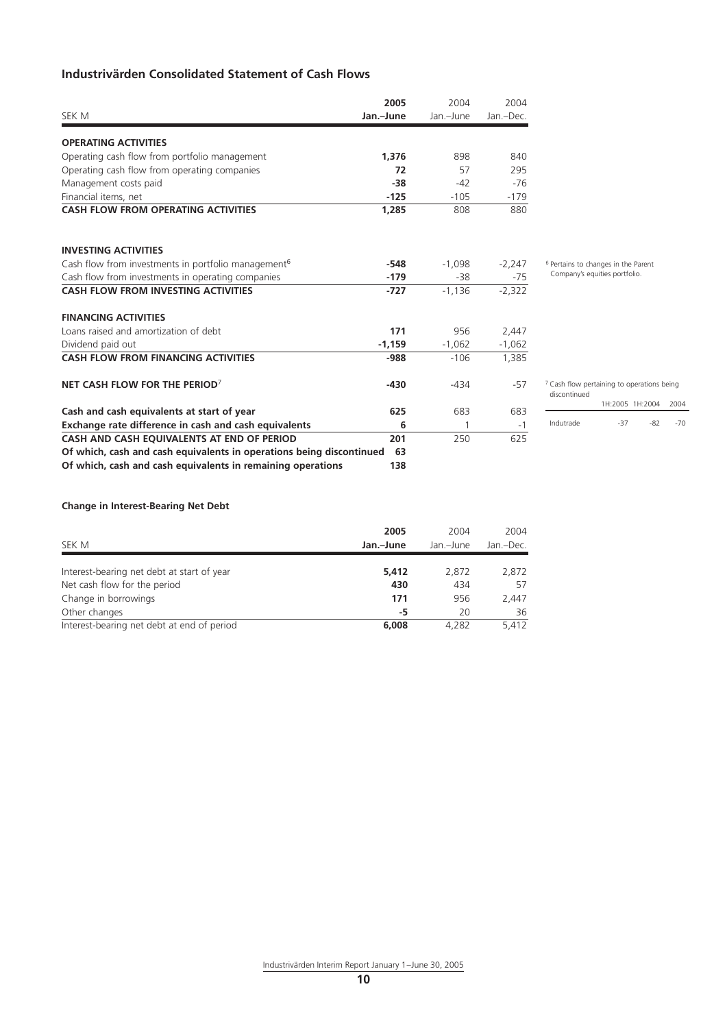# **Industrivärden Consolidated Statement of Cash Flows**

|                                                                         | 2005      | 2004      | 2004      |               |
|-------------------------------------------------------------------------|-----------|-----------|-----------|---------------|
| SEK M                                                                   | Jan.-June | Jan.-June | Jan.-Dec. |               |
| <b>OPERATING ACTIVITIES</b>                                             |           |           |           |               |
| Operating cash flow from portfolio management                           | 1.376     | 898       | 840       |               |
| Operating cash flow from operating companies                            | 72        | 57        | 295       |               |
| Management costs paid                                                   | $-38$     | $-42$     | $-76$     |               |
| Financial items, net                                                    | $-125$    | $-105$    | $-179$    |               |
| <b>CASH FLOW FROM OPERATING ACTIVITIES</b>                              | 1,285     | 808       | 880       |               |
| <b>INVESTING ACTIVITIES</b>                                             |           |           |           |               |
| Cash flow from investments in portfolio management <sup>6</sup>         | $-548$    | $-1,098$  | $-2,247$  | $6$ Per       |
| Cash flow from investments in operating companies                       | $-179$    | $-38$     | $-75$     | Co            |
| <b>CASH FLOW FROM INVESTING ACTIVITIES</b>                              | $-727$    | $-1.136$  | $-2,322$  |               |
| <b>FINANCING ACTIVITIES</b>                                             |           |           |           |               |
| Loans raised and amortization of debt                                   | 171       | 956       | 2,447     |               |
| Dividend paid out                                                       | $-1,159$  | $-1,062$  | $-1,062$  |               |
| <b>CASH FLOW FROM FINANCING ACTIVITIES</b>                              | -988      | $-106$    | 1,385     |               |
| NET CASH FLOW FOR THE PERIOD <sup>7</sup>                               | $-430$    | $-434$    | $-57$     | 7 Cas<br>disc |
| Cash and cash equivalents at start of year                              | 625       | 683       | 683       |               |
| Exchange rate difference in cash and cash equivalents                   | 6         | 1         | $-1$      | Ind           |
| CASH AND CASH EQUIVALENTS AT END OF PERIOD                              | 201       | 250       | 625       |               |
| Of which, cash and cash equivalents in operations being discontinued 63 |           |           |           |               |
| Of which, cash and cash equivalents in remaining operations             | 138       |           |           |               |

6 Pertains to changes in the Parent Company's equities portfolio.

| <sup>7</sup> Cash flow pertaining to operations being<br>discontinued |     |                      |     |
|-----------------------------------------------------------------------|-----|----------------------|-----|
|                                                                       |     | 1H:2005 1H:2004 2004 |     |
| Indutrade                                                             | -37 | -82                  | -70 |

## **Change in Interest-Bearing Net Debt**

| SEK M                                      | 2005<br>Jan.-June | 2004<br>Jan.-June | 2004<br>Jan.-Dec. |
|--------------------------------------------|-------------------|-------------------|-------------------|
| Interest-bearing net debt at start of year | 5,412             | 2,872             | 2,872             |
| Net cash flow for the period               | 430               | 434               | 57                |
| Change in borrowings                       | 171               | 956               | 2.447             |
| Other changes                              | -5                | 20                | 36                |
| Interest-bearing net debt at end of period | 6,008             | 4.282             | 5.412             |

Industrivärden Interim Report January 1-June 30, 2005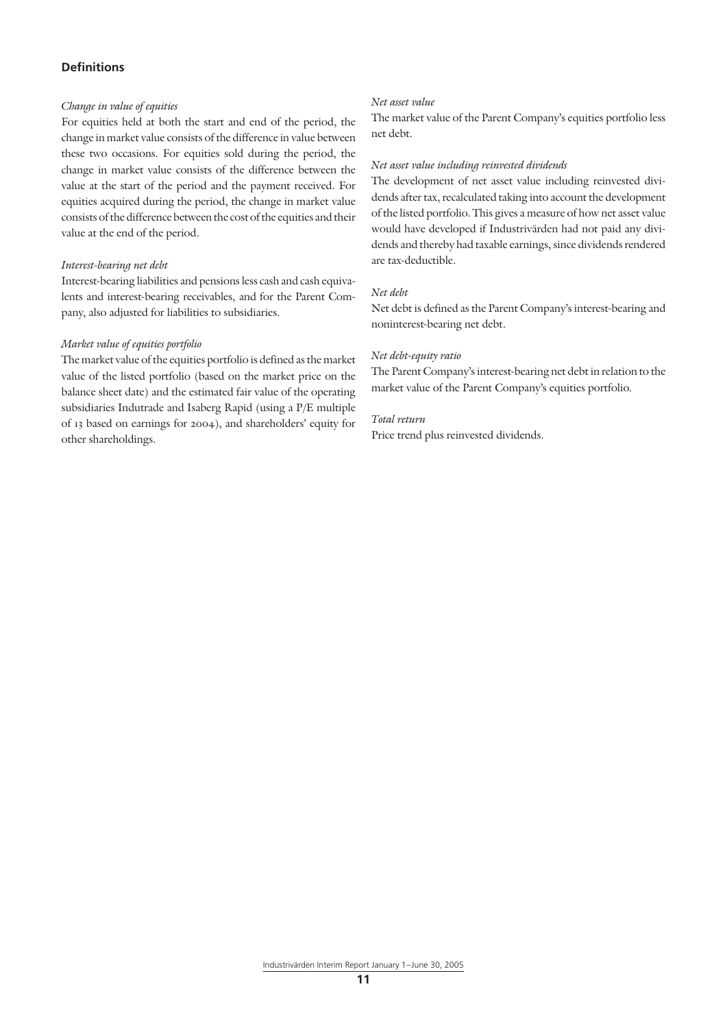#### **Definitions**

#### *Change in value of equities*

For equities held at both the start and end of the period, the change in market value consists of the difference in value between these two occasions. For equities sold during the period, the change in market value consists of the difference between the value at the start of the period and the payment received. For equities acquired during the period, the change in market value consists of the difference between the cost of the equities and their value at the end of the period.

#### *Interest-bearing net debt*

Interest-bearing liabilities and pensions less cash and cash equivalents and interest-bearing receivables, and for the Parent Company, also adjusted for liabilities to subsidiaries.

#### *Market value of equities portfolio*

The market value of the equities portfolio is defined as the market value of the listed portfolio (based on the market price on the balance sheet date) and the estimated fair value of the operating subsidiaries Indutrade and Isaberg Rapid (using a P/E multiple of 13 based on earnings for 2004), and shareholders' equity for other shareholdings.

### *Net asset value*

The market value of the Parent Company's equities portfolio less net debt.

#### *Net asset value including reinvested dividends*

The development of net asset value including reinvested dividends after tax, recalculated taking into account the development of the listed portfolio. This gives a measure of how net asset value would have developed if Industrivärden had not paid any dividends and thereby had taxable earnings, since dividends rendered are tax-deductible.

#### *Net debt*

Net debt is defined as the Parent Company's interest-bearing and noninterest-bearing net debt.

#### *Net debt-equity ratio*

The Parent Company's interest-bearing net debt in relation to the market value of the Parent Company's equities portfolio.

#### *Total return*

Price trend plus reinvested dividends.